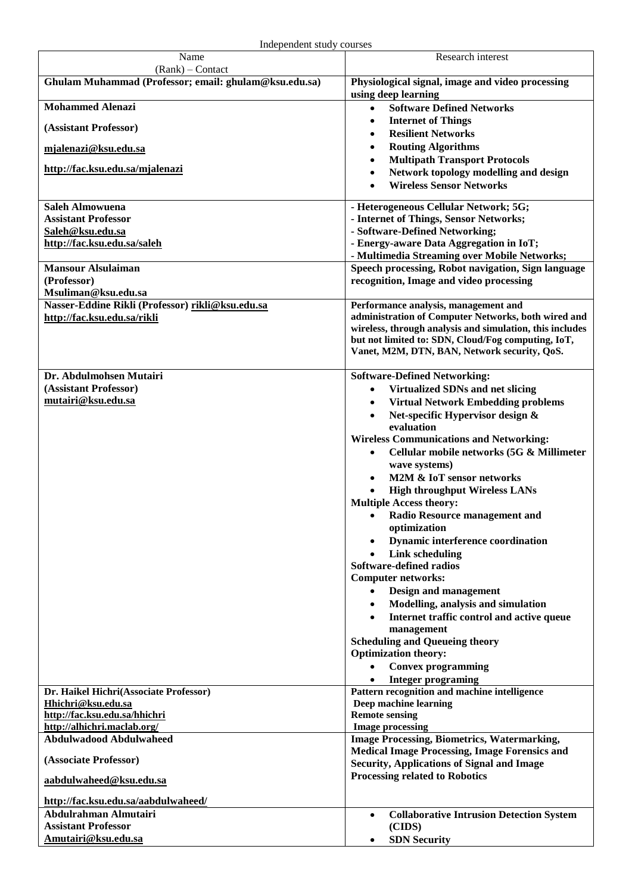| Name                                                         | Research interest                                                                                         |
|--------------------------------------------------------------|-----------------------------------------------------------------------------------------------------------|
| (Rank) - Contact                                             |                                                                                                           |
| Ghulam Muhammad (Professor; email: ghulam@ksu.edu.sa)        | Physiological signal, image and video processing<br>using deep learning                                   |
| <b>Mohammed Alenazi</b>                                      | <b>Software Defined Networks</b><br>$\bullet$                                                             |
| (Assistant Professor)                                        | <b>Internet of Things</b><br><b>Resilient Networks</b>                                                    |
| mjalenazi@ksu.edu.sa                                         | <b>Routing Algorithms</b>                                                                                 |
|                                                              | <b>Multipath Transport Protocols</b>                                                                      |
| http://fac.ksu.edu.sa/mjalenazi                              | Network topology modelling and design<br><b>Wireless Sensor Networks</b>                                  |
|                                                              |                                                                                                           |
| <b>Saleh Almowuena</b><br><b>Assistant Professor</b>         | - Heterogeneous Cellular Network; 5G;<br>- Internet of Things, Sensor Networks;                           |
| Saleh@ksu.edu.sa                                             | - Software-Defined Networking;                                                                            |
| http://fac.ksu.edu.sa/saleh                                  | - Energy-aware Data Aggregation in IoT;                                                                   |
|                                                              | - Multimedia Streaming over Mobile Networks;                                                              |
| <b>Mansour Alsulaiman</b>                                    | Speech processing, Robot navigation, Sign language                                                        |
| (Professor)<br>Msuliman@ksu.edu.sa                           | recognition, Image and video processing                                                                   |
| Nasser-Eddine Rikli (Professor) rikli@ksu.edu.sa             | Performance analysis, management and                                                                      |
| http://fac.ksu.edu.sa/rikli                                  | administration of Computer Networks, both wired and                                                       |
|                                                              | wireless, through analysis and simulation, this includes                                                  |
|                                                              | but not limited to: SDN, Cloud/Fog computing, IoT,<br>Vanet, M2M, DTN, BAN, Network security, QoS.        |
|                                                              |                                                                                                           |
| Dr. Abdulmohsen Mutairi                                      | <b>Software-Defined Networking:</b>                                                                       |
| (Assistant Professor)                                        | Virtualized SDNs and net slicing<br>$\bullet$                                                             |
| mutairi@ksu.edu.sa                                           | <b>Virtual Network Embedding problems</b><br>$\bullet$                                                    |
|                                                              | Net-specific Hypervisor design &<br>$\bullet$                                                             |
|                                                              | evaluation<br><b>Wireless Communications and Networking:</b>                                              |
|                                                              | Cellular mobile networks (5G & Millimeter<br>$\bullet$                                                    |
|                                                              | wave systems)                                                                                             |
|                                                              | M2M & IoT sensor networks                                                                                 |
|                                                              | <b>High throughput Wireless LANs</b>                                                                      |
|                                                              | <b>Multiple Access theory:</b>                                                                            |
|                                                              | Radio Resource management and<br>$\bullet$                                                                |
|                                                              | optimization<br><b>Dynamic interference coordination</b>                                                  |
|                                                              | <b>Link scheduling</b>                                                                                    |
|                                                              | Software-defined radios                                                                                   |
|                                                              | <b>Computer networks:</b>                                                                                 |
|                                                              | <b>Design and management</b><br>$\bullet$                                                                 |
|                                                              | Modelling, analysis and simulation                                                                        |
|                                                              | Internet traffic control and active queue<br>$\bullet$<br>management                                      |
|                                                              | <b>Scheduling and Queueing theory</b>                                                                     |
|                                                              | <b>Optimization theory:</b>                                                                               |
|                                                              | <b>Convex programming</b>                                                                                 |
|                                                              | <b>Integer programing</b>                                                                                 |
| Dr. Haikel Hichri(Associate Professor)<br>Hhichri@ksu.edu.sa | Pattern recognition and machine intelligence<br>Deep machine learning                                     |
| http://fac.ksu.edu.sa/hhichri                                | <b>Remote sensing</b>                                                                                     |
| http://alhichri.maclab.org/                                  | <b>Image processing</b>                                                                                   |
| <b>Abdulwadood Abdulwaheed</b>                               | <b>Image Processing, Biometrics, Watermarking,</b>                                                        |
| (Associate Professor)                                        | <b>Medical Image Processing, Image Forensics and</b><br><b>Security, Applications of Signal and Image</b> |
| aabdulwaheed@ksu.edu.sa                                      | <b>Processing related to Robotics</b>                                                                     |
| http://fac.ksu.edu.sa/aabdulwaheed/                          |                                                                                                           |
| Abdulrahman Almutairi                                        | <b>Collaborative Intrusion Detection System</b><br>$\bullet$                                              |
| <b>Assistant Professor</b>                                   | (CIDS)                                                                                                    |
| Amutairi@ksu.edu.sa                                          | <b>SDN Security</b>                                                                                       |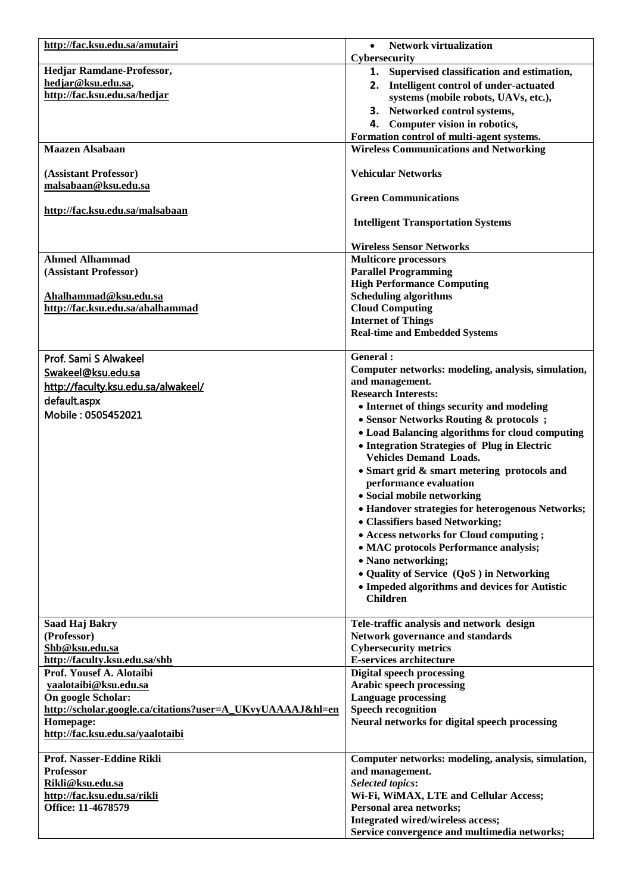| http://fac.ksu.edu.sa/amutairi                             | <b>Network virtualization</b>                      |
|------------------------------------------------------------|----------------------------------------------------|
|                                                            | Cybersecurity                                      |
| Hedjar Ramdane-Professor,                                  | 1. Supervised classification and estimation,       |
| hedjar@ksu.edu.sa,                                         | 2. Intelligent control of under-actuated           |
| http://fac.ksu.edu.sa/hedjar                               | systems (mobile robots, UAVs, etc.),               |
|                                                            | 3. Networked control systems,                      |
|                                                            | 4. Computer vision in robotics,                    |
|                                                            | Formation control of multi-agent systems.          |
| <b>Maazen Alsabaan</b>                                     | <b>Wireless Communications and Networking</b>      |
|                                                            |                                                    |
| (Assistant Professor)                                      | <b>Vehicular Networks</b>                          |
| malsabaan@ksu.edu.sa                                       |                                                    |
|                                                            | <b>Green Communications</b>                        |
| http://fac.ksu.edu.sa/malsabaan                            |                                                    |
|                                                            | <b>Intelligent Transportation Systems</b>          |
|                                                            |                                                    |
|                                                            | <b>Wireless Sensor Networks</b>                    |
| <b>Ahmed Alhammad</b>                                      | <b>Multicore processors</b>                        |
| (Assistant Professor)                                      | <b>Parallel Programming</b>                        |
|                                                            | <b>High Performance Computing</b>                  |
| Ahalhammad@ksu.edu.sa                                      | <b>Scheduling algorithms</b>                       |
| http://fac.ksu.edu.sa/ahalhammad                           | <b>Cloud Computing</b>                             |
|                                                            | <b>Internet of Things</b>                          |
|                                                            | <b>Real-time and Embedded Systems</b>              |
|                                                            |                                                    |
| Prof. Sami S Alwakeel                                      | General:                                           |
| Swakeel@ksu.edu.sa                                         | Computer networks: modeling, analysis, simulation, |
| http://faculty.ksu.edu.sa/alwakeel/                        | and management.                                    |
| default.aspx                                               | <b>Research Interests:</b>                         |
| Mobile: 0505452021                                         | • Internet of things security and modeling         |
|                                                            | • Sensor Networks Routing & protocols ;            |
|                                                            | • Load Balancing algorithms for cloud computing    |
|                                                            | • Integration Strategies of Plug in Electric       |
|                                                            | <b>Vehicles Demand Loads.</b>                      |
|                                                            | • Smart grid & smart metering protocols and        |
|                                                            | performance evaluation                             |
|                                                            | • Social mobile networking                         |
|                                                            | • Handover strategies for heterogenous Networks;   |
|                                                            | • Classifiers based Networking;                    |
|                                                            | • Access networks for Cloud computing;             |
|                                                            | • MAC protocols Performance analysis;              |
|                                                            | • Nano networking;                                 |
|                                                            | • Quality of Service (QoS) in Networking           |
|                                                            | • Impeded algorithms and devices for Autistic      |
|                                                            | <b>Children</b>                                    |
|                                                            |                                                    |
| Saad Haj Bakry                                             | Tele-traffic analysis and network design           |
| (Professor)                                                | <b>Network governance and standards</b>            |
| Shb@ksu.edu.sa                                             | <b>Cybersecurity metrics</b>                       |
| http://faculty.ksu.edu.sa/shb                              | E-services architecture                            |
| Prof. Yousef A. Alotaibi                                   | <b>Digital speech processing</b>                   |
| yaalotaibi@ksu.edu.sa                                      | Arabic speech processing                           |
| On google Scholar:                                         | <b>Language processing</b>                         |
| http://scholar.google.ca/citations?user=A_UKvyUAAAAJ&hl=en | <b>Speech recognition</b>                          |
| Homepage:                                                  | Neural networks for digital speech processing      |
| http://fac.ksu.edu.sa/yaalotaibi                           |                                                    |
|                                                            |                                                    |
| Prof. Nasser-Eddine Rikli                                  | Computer networks: modeling, analysis, simulation, |
| <b>Professor</b>                                           | and management.                                    |
| Rikli@ksu.edu.sa                                           | <b>Selected topics:</b>                            |
| http://fac.ksu.edu.sa/rikli                                | Wi-Fi, WiMAX, LTE and Cellular Access;             |
| Office: 11-4678579                                         | Personal area networks;                            |
|                                                            | Integrated wired/wireless access;                  |
|                                                            | Service convergence and multimedia networks;       |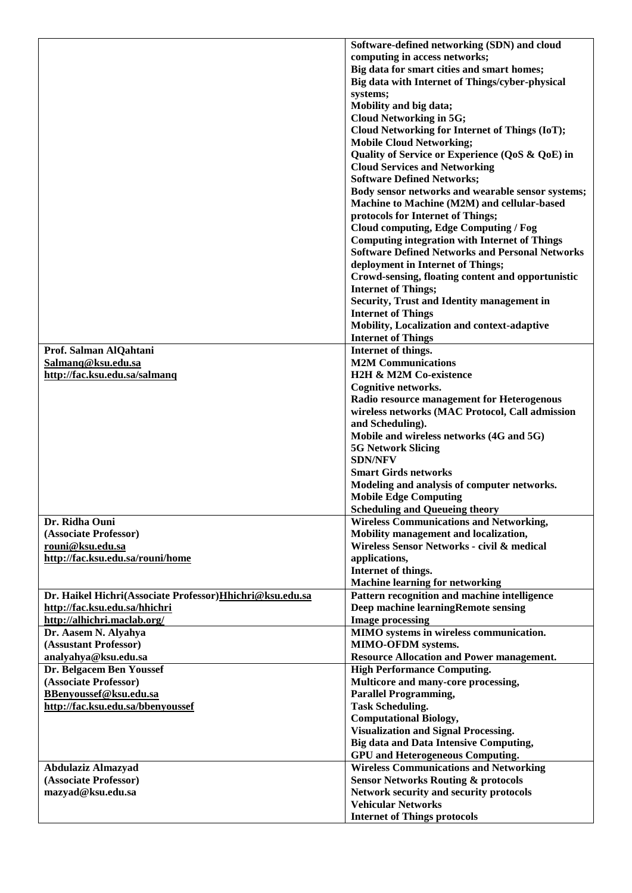|                                                          | Software-defined networking (SDN) and cloud            |
|----------------------------------------------------------|--------------------------------------------------------|
|                                                          | computing in access networks;                          |
|                                                          | Big data for smart cities and smart homes;             |
|                                                          | Big data with Internet of Things/cyber-physical        |
|                                                          | systems;                                               |
|                                                          | Mobility and big data;                                 |
|                                                          | <b>Cloud Networking in 5G;</b>                         |
|                                                          | Cloud Networking for Internet of Things (IoT);         |
|                                                          | <b>Mobile Cloud Networking;</b>                        |
|                                                          | Quality of Service or Experience (QoS & QoE) in        |
|                                                          | <b>Cloud Services and Networking</b>                   |
|                                                          | <b>Software Defined Networks;</b>                      |
|                                                          | Body sensor networks and wearable sensor systems;      |
|                                                          | Machine to Machine (M2M) and cellular-based            |
|                                                          | protocols for Internet of Things;                      |
|                                                          | <b>Cloud computing, Edge Computing / Fog</b>           |
|                                                          | <b>Computing integration with Internet of Things</b>   |
|                                                          | <b>Software Defined Networks and Personal Networks</b> |
|                                                          | deployment in Internet of Things;                      |
|                                                          | Crowd-sensing, floating content and opportunistic      |
|                                                          | <b>Internet of Things;</b>                             |
|                                                          | Security, Trust and Identity management in             |
|                                                          | <b>Internet of Things</b>                              |
|                                                          | Mobility, Localization and context-adaptive            |
|                                                          | <b>Internet of Things</b>                              |
| Prof. Salman AlQahtani                                   | Internet of things.                                    |
| Salmanq@ksu.edu.sa                                       | <b>M2M Communications</b>                              |
| http://fac.ksu.edu.sa/salmanq                            | H2H & M2M Co-existence                                 |
|                                                          | Cognitive networks.                                    |
|                                                          | Radio resource management for Heterogenous             |
|                                                          | wireless networks (MAC Protocol, Call admission        |
|                                                          | and Scheduling).                                       |
|                                                          | Mobile and wireless networks (4G and 5G)               |
|                                                          | <b>5G Network Slicing</b>                              |
|                                                          | <b>SDN/NFV</b>                                         |
|                                                          | <b>Smart Girds networks</b>                            |
|                                                          | Modeling and analysis of computer networks.            |
|                                                          | <b>Mobile Edge Computing</b>                           |
|                                                          | <b>Scheduling and Queueing theory</b>                  |
| Dr. Ridha Ouni                                           | <b>Wireless Communications and Networking,</b>         |
| (Associate Professor)                                    | Mobility management and localization,                  |
| rouni@ksu.edu.sa                                         | Wireless Sensor Networks - civil & medical             |
| http://fac.ksu.edu.sa/rouni/home                         | applications,                                          |
|                                                          | Internet of things.                                    |
|                                                          | <b>Machine learning for networking</b>                 |
| Dr. Haikel Hichri(Associate Professor)Hhichri@ksu.edu.sa | Pattern recognition and machine intelligence           |
| http://fac.ksu.edu.sa/hhichri                            | Deep machine learningRemote sensing                    |
| http://alhichri.maclab.org/                              | <b>Image processing</b>                                |
| Dr. Aasem N. Alyahya                                     | MIMO systems in wireless communication.                |
| (Assustant Professor)                                    | MIMO-OFDM systems.                                     |
| analyahya@ksu.edu.sa                                     | <b>Resource Allocation and Power management.</b>       |
| Dr. Belgacem Ben Youssef                                 | <b>High Performance Computing.</b>                     |
| (Associate Professor)                                    | Multicore and many-core processing,                    |
| BBenyoussef@ksu.edu.sa                                   | <b>Parallel Programming,</b>                           |
| http://fac.ksu.edu.sa/bbenyoussef                        | <b>Task Scheduling.</b>                                |
|                                                          | <b>Computational Biology,</b>                          |
|                                                          | <b>Visualization and Signal Processing.</b>            |
|                                                          | <b>Big data and Data Intensive Computing,</b>          |
|                                                          | <b>GPU</b> and Heterogeneous Computing.                |
| <b>Abdulaziz Almazyad</b>                                | <b>Wireless Communications and Networking</b>          |
| (Associate Professor)                                    | <b>Sensor Networks Routing &amp; protocols</b>         |
| mazyad@ksu.edu.sa                                        | Network security and security protocols                |
|                                                          | <b>Vehicular Networks</b>                              |
|                                                          | <b>Internet of Things protocols</b>                    |